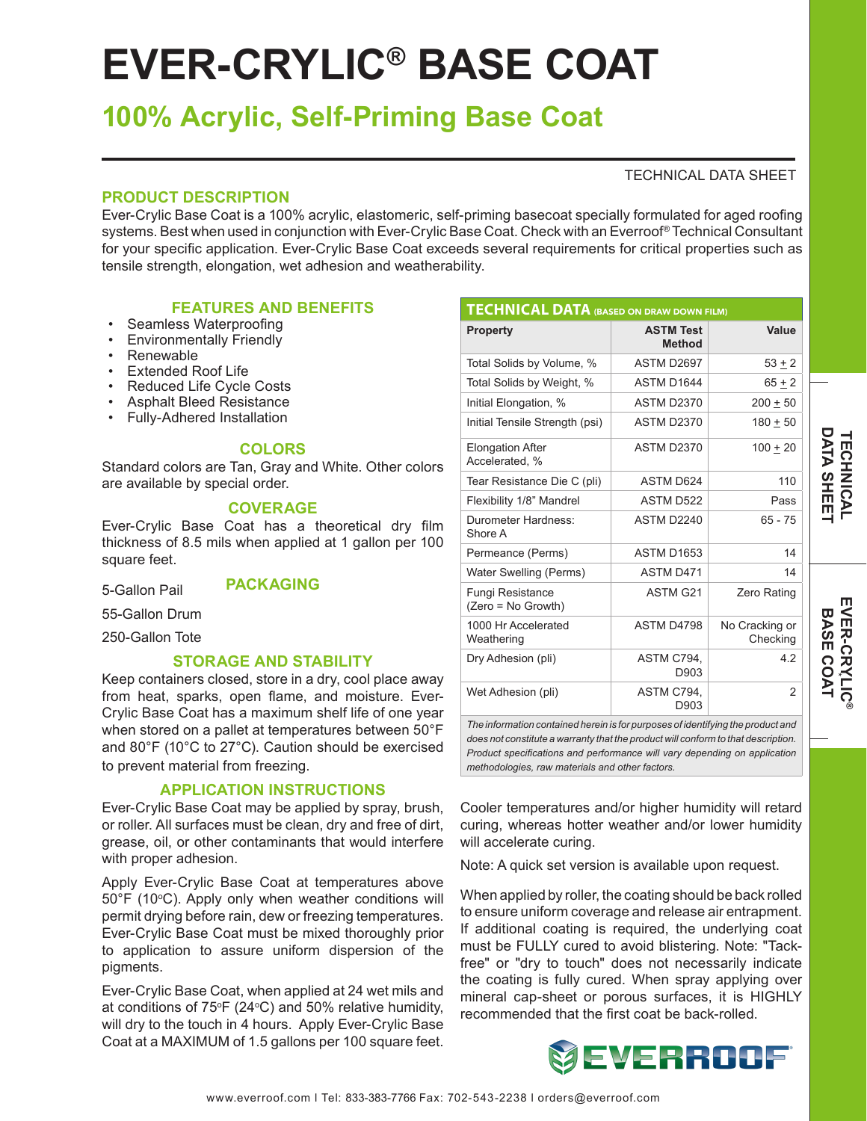# **EVER-CRYLIC® BASE COAT**

# **100% Acrylic, Self-Priming Base Coat**

# TECHNICAL DATA SHEET

# **PRODUCT DESCRIPTION**

Ever-Crylic Base Coat is a 100% acrylic, elastomeric, self-priming basecoat specially formulated for aged roofing systems. Best when used in conjunction with Ever-Crylic Base Coat. Check with an Everroof® Technical Consultant for your specific application. Ever-Crylic Base Coat exceeds several requirements for critical properties such as tensile strength, elongation, wet adhesion and weatherability.

# **FEATURES AND BENEFITS**

- Seamless Waterproofing
- Environmentally Friendly
- Renewable
- Extended Roof Life
- Reduced Life Cycle Costs
- Asphalt Bleed Resistance
- Fully-Adhered Installation

# **COLORS**

Standard colors are Tan, Gray and White. Other colors are available by special order.

# **COVERAGE**

Ever-Crylic Base Coat has a theoretical dry film thickness of 8.5 mils when applied at 1 gallon per 100 square feet.

5-Gallon Pail **PACKAGING**

55-Gallon Drum

250-Gallon Tote

# **STORAGE AND STABILITY**

Keep containers closed, store in a dry, cool place away from heat, sparks, open flame, and moisture. Ever-Crylic Base Coat has a maximum shelf life of one year when stored on a pallet at temperatures between 50°F and 80°F (10°C to 27°C). Caution should be exercised to prevent material from freezing.

# **APPLICATION INSTRUCTIONS**

Ever-Crylic Base Coat may be applied by spray, brush, or roller. All surfaces must be clean, dry and free of dirt, grease, oil, or other contaminants that would interfere with proper adhesion.

Apply Ever-Crylic Base Coat at temperatures above 50°F (10°C). Apply only when weather conditions will permit drying before rain, dew or freezing temperatures. Ever-Crylic Base Coat must be mixed thoroughly prior to application to assure uniform dispersion of the pigments.

Ever-Crylic Base Coat, when applied at 24 wet mils and at conditions of 75°F (24°C) and 50% relative humidity, will dry to the touch in 4 hours. Apply Ever-Crylic Base Coat at a MAXIMUM of 1.5 gallons per 100 square feet.

| <b>TECHNICAL DATA (BASED ON DRAW DOWN FILM)</b> |                                   |                            |
|-------------------------------------------------|-----------------------------------|----------------------------|
| <b>Property</b>                                 | <b>ASTM Test</b><br><b>Method</b> | Value                      |
| Total Solids by Volume, %                       | ASTM D2697                        | $53 + 2$                   |
| Total Solids by Weight, %                       | ASTM D1644                        | $65 + 2$                   |
| Initial Elongation, %                           | <b>ASTM D2370</b>                 | $200 + 50$                 |
| Initial Tensile Strength (psi)                  | <b>ASTM D2370</b>                 | $180 + 50$                 |
| <b>Elongation After</b><br>Accelerated, %       | <b>ASTM D2370</b>                 | $100 + 20$                 |
| Tear Resistance Die C (pli)                     | <b>ASTM D624</b>                  | 110                        |
| Flexibility 1/8" Mandrel                        | ASTM D522                         | Pass                       |
| Durometer Hardness:<br>Shore A                  | ASTM D2240                        | $65 - 75$                  |
| Permeance (Perms)                               | <b>ASTM D1653</b>                 | 14                         |
| Water Swelling (Perms)                          | ASTM D471                         | 14                         |
| <b>Fungi Resistance</b><br>(Zero = No Growth)   | ASTM G21                          | Zero Rating                |
| 1000 Hr Accelerated<br>Weathering               | <b>ASTM D4798</b>                 | No Cracking or<br>Checking |
| Dry Adhesion (pli)                              | ASTM C794,<br>D903                | 42                         |
| Wet Adhesion (pli)                              | ASTM C794.<br>D903                | $\mathcal{P}$              |

*The information contained herein is for purposes of identifying the product and does not constitute a warranty that the product will conform to that description. Product specifications and performance will vary depending on application methodologies, raw materials and other factors.*

Cooler temperatures and/or higher humidity will retard curing, whereas hotter weather and/or lower humidity will accelerate curing.

Note: A quick set version is available upon request.

When applied by roller, the coating should be back rolled to ensure uniform coverage and release air entrapment. If additional coating is required, the underlying coat must be FULLY cured to avoid blistering. Note: "Tackfree" or "dry to touch" does not necessarily indicate the coating is fully cured. When spray applying over mineral cap-sheet or porous surfaces, it is HIGHLY recommended that the first coat be back-rolled.



BASE COAT

**®**